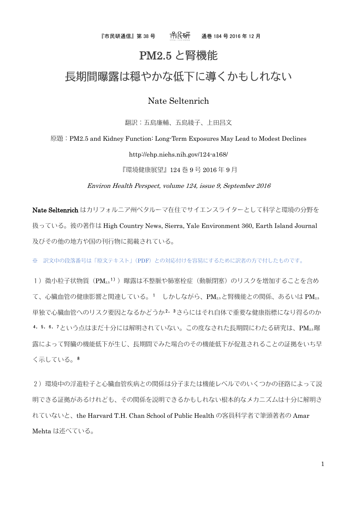『市民研通信』第 38 号 通巻 184 号 2016 年 12 月

## PM2.5 と腎機能

# 長期間曝露は穏やかな低下に導くかもしれない

### Nate Seltenrich

翻訳:五島廉輔、五島綾子、上田昌文

原題:PM2.5 and Kidney Function: Long-Term Exposures May Lead to Modest Declines

http://ehp.niehs.nih.gov/124-a168/

『環境健康展望』124 巻 9 号 2016 年 9 月

Environ Health Perspect, volume 124, issue 9, September 2016

Nate Seltenrich はカリフォルニア州ペタルーマ在住でサイエンスライターとして科学と環境の分野を 扱っている。彼の著作は High Country News, Sierra, Yale Environment 360, Earth Island Journal 及びその他の地方や国の刊行物に掲載されている。

※ 訳文中の段落番号は「原文テキスト」(PDF)との対応付けを容易にするために訳者の方で付したものです。

1) 微小粒子状物質(PM2.51))曝露は不整脈や肺塞栓症(動脈閉塞)のリスクを増加することを含め て、心臓血管の健康影響と関連している。1 しかしながら、PM2.5と腎機能との関係、あるいは PM2.5 単独で心臓血管へのリスク要因となるかどうか2,3さらにはそれ自体で重要な健康指標になり得るのか 4, 5, 6, 7という点はまだ十分には解明されていない。この度なされた長期間にわたる研究は、PM25曝 露によって腎臓の機能低下が生じ、長期間でみた場合のその機能低下が促進されることの証拠をいち早 く示している。8

2)環境中の浮遊粒子と心臓血管疾病との関係は分子または機能レベルでのいくつかの径路によって説 明できる証拠があるけれども、その関係を説明できるかもしれない根本的なメカニズムは十分に解明さ れていないと、the Harvard T.H. Chan School of Public Health の客員科学者で筆頭著者の Amar Mehta は述べている。

1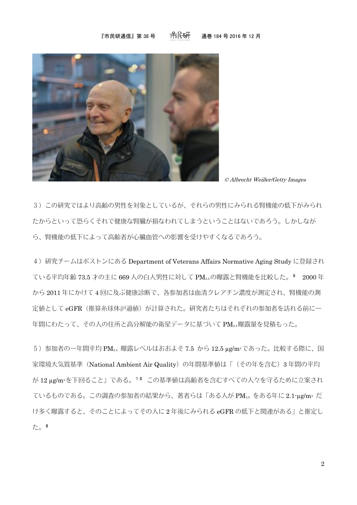#### 『市民研通信』第 38 号 一 〇 〇 〇 通巻 184 号 2016 年 12 月



© Albrecht Weißer/Getty Images

3)この研究ではより高齢の男性を対象としているが、それらの男性にみられる腎機能の低下がみられ たからといって恐らくそれで健康な腎臓が損なわれてしまうということはないであろう。しかしなが ら、腎機能の低下によって高齢者が心臓血管への影響を受けやすくなるであろう。

4)研究チームはボストンにある Department of Veterans Affairs Normative Aging Study に登録され ている平均年齢 73.5 才の主に 669 人の白人男性に対して PM2.5の曝露と腎機能を比較した。9 2000 年 から 2011 年にかけて 4 回に及ぶ健康診断で、各参加者は血清クレアチン濃度が測定され、腎機能の測 定値として eGFR (推算糸球体沪過値)が計算された。研究者たちはそれぞれの参加者を訪れる前に一 年間にわたって、その人の住所と高分解能の衛星データに基づいて PM2.5曝露量を見積もった。

 $5)$ 参加者の一年間平均 PM<sub>2.5</sub> 曝露レベルはおおよそ 7.5 から 12.5 µg/m<sup>3</sup>であった。比較する際に、国 家環境大気質基準 (National Ambient Air Quality)の年間基準値は「(その年を含む)3年間の平均 が 12 µg/m3を下回ること」である。10 この基準値は高齢者を含むすべての人々を守るために立案され ているものである。この調査の参加者の結果から、著者らは「ある人が PM<sub>2.5</sub> をある年に 2.1-µg/m<sup>3</sup> だ け多く曝露すると、そのことによってその人に 2 年後にみられる eGFR の低下と関連がある」と推定し た。8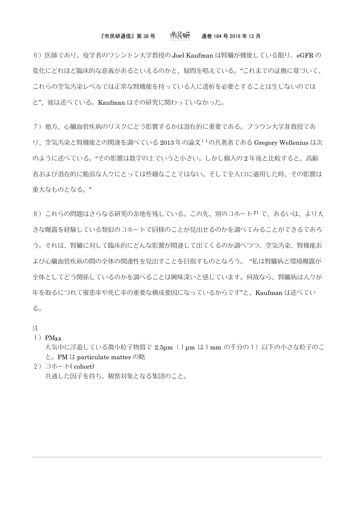### 『市民研通信』第 38 号  $\qquad$  一 一 一 一 一 一 一 一 一 通巻 184 号 2016 年 12 月

6) 医師であり、疫学者のワシントン大学教授の Joel Kaufman は腎臓が機能している限り、eGFR の 変化にどれほど臨床的な意義があるといえるのかと、疑問を唱えている。"これまでの証拠に基づいて、 これらの空気汚染レベルでは正常な腎機能を持っている人に透析を必要とすることは生じないのでは と"、彼は述べている。Kaufman はその研究に関わっていなかった。

7)他方、心臓血管疾病のリスクにどう影響するかは潜在的に重要である。ブラウン大学准教授であ

り、空気汚染と腎機能との関連を調べている 2013 年の論文11の共著者である Gregory Wellenius は次 のように述べている。"その影響は数字の上でいうと小さい。しかし個人の 2 年後と比較すると、高齢 者および潜在的に脆弱な人々にとっては些細なことではない。そして全人口に適用した時、その影響は 重大なものとなる。"

8)これらの問題はさらなる研究の余地を残している。この先、別のコホート2)で、あるいは、より大 きな曝露を経験している類似のコホートで同様のことが見出せるのかを調べてみることができるであろ う。それは、腎臓に対して臨床的にどんな影響が関連して出てくるのか調べつつ、空気汚染、腎機能お よび心臓血管疾病の間の全体の関連性を見出すことを目指すものとなろう。 "私は腎臓病と環境曝露が 全体としてどう関係しているのかを調べることは興味深いと感じています。何故なら、腎臓病は人々が 年を取るにつれて罹患率や死亡率の重要な構成要因になっているからです"と、Kaufman は述べてい る。

注

#### $1)$  PM<sub>2.5</sub>

大気中に浮遊している微小粒子物質で 2.5µm (1µm は1mm の千分の1)以下の小さな粒子のこ と。PM は particulate matter の略

2) コホート $(\text{cohort})$ 共通した因子を持ち、観察対象となる集団のこと。